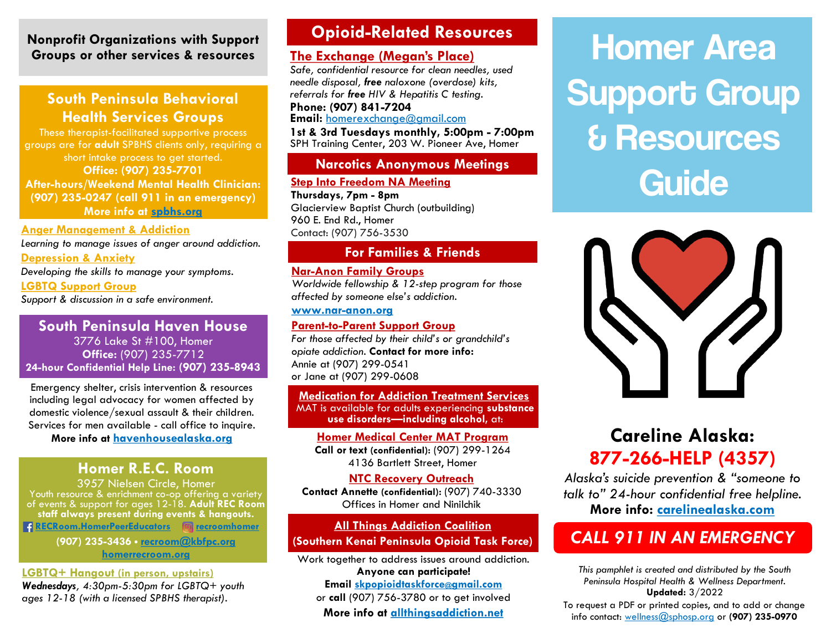### **Nonprofit Organizations with Support Groups or other services & resources**

## **South Peninsula Behavioral Health Services Groups**

These therapist-facilitated supportive process groups are for **adult** SPBHS clients only, requiring a short intake process to get started. **Office: (907) 235-7701 After-hours/Weekend Mental Health Clinician: (907) 235-0247 (call 911 in an emergency) More info at [spbhs.org](https://www.spbhs.org/)**

## **Anger Management & Addiction**

*Learning to manage issues of anger around addiction.*  **Depression & Anxiety**

*Developing the skills to manage your symptoms.*

**LGBTQ Support Group**

*Support & discussion in a safe environment.*

#### **South Peninsula Haven House** 3776 Lake St #100, Homer **Office:** (907) 235-7712 **24-hour Confidential Help Line: (907) 235-8943**

Emergency shelter, crisis intervention & resources including legal advocacy for women affected by domestic violence/sexual assault & their children. Services for men available - call office to inquire.

**More info at [havenhousealaska.org](https://havenhousealaska.org/)**

## **Homer R.E.C. Room**

3957 Nielsen Circle, Homer Youth resource & enrichment co-op offering a variety of events & support for ages 12-18. **Adult REC Room staff always present during events & hangouts. [RECRoom.HomerPeerEducators](https://www.facebook.com/RECRoom.HomerPeerEducators) <b>i** [recroomhomer](https://www.instagram.com/recroomhomer/)

> **(907) 235-3436** · **[recroom@kbfpc.org](mailto:recroom@kbfpc.org) [homerrecroom.org](https://homerrecroom.org/)**

#### **LGBTQ+ Hangout (in person, upstairs)**

*Wednesdays, 4:30pm-5:30pm for LGBTQ+ youth ages 12-18 (with a licensed SPBHS therapist).*

## **Opioid-Related Resources**

## **The Exchange (Megan's Place)**

*Safe, confidential resource for clean needles, used needle disposal, free naloxone (overdose) kits, referrals for free HIV & Hepatitis C testing.* **Phone: (907) 841-7204**

**Email:** [homerexchange](mailto:homerexchange@gmail.com)@gmail.com

**1st & 3rd Tuesdays monthly, 5:00pm - 7:00pm** SPH Training Center, 203 W. Pioneer Ave, Homer

### **Narcotics Anonymous Meetings**

#### **Step Into Freedom NA Meeting**

**Thursdays, 7pm - 8pm** Glacierview Baptist Church (outbuilding) 960 E. End Rd., Homer Contact: (907) 756-3530

### **For Families & Friends**

#### **Nar-Anon Family Groups**

*Worldwide fellowship & 12-step program for those affected by someone else's addiction.*

**[www.nar-anon.org](http://www.nar-anon.org)**

#### **Parent-to-Parent Support Group**

*For those affected by their child's or grandchild's opiate addiction.* **Contact for more info:** Annie at (907) 299-0541 or Jane at (907) 299-0608

**Medication for Addiction Treatment Services** MAT is available for adults experiencing **substance use disorders—including alcohol,** at:

**Homer Medical Center MAT Program Call or text (confidential):** (907) 299-1264 4136 Bartlett Street, Homer

#### **NTC Recovery Outreach Contact Annette (confidential):** (907) 740-3330 Offices in Homer and Ninilchik

#### **All Things Addiction Coalition**

### **(Southern Kenai Peninsula Opioid Task Force)**

Work together to address issues around addiction. **Anyone can participate! Email [skpopioidtaskforce](mailto:skpopioidtaskforce@gmail.com)@gmail.com** or **call** (907) 756-3780 or to get involved **More info at [allthingsaddiction.net](https://allthingsaddiction.net/)**

# Homer Area Support Group & Resources **Guide**



## **Careline Alaska: 877-266-HELP (4357)**

*Alaska's suicide prevention & "someone to talk to" 24-hour confidential free helpline.*  **More info: [carelinealaska.com](https://carelinealaska.com/)**

## *CALL 911 IN AN EMERGENCY*

*This pamphlet is created and distributed by the South Peninsula Hospital Health & Wellness Department.* **Updated:** 3/2022

To request a PDF or printed copies, and to add or change info contact: [wellness@sphosp.org](mailto:wellness@sphosp.org) or **(907) 235-0970**